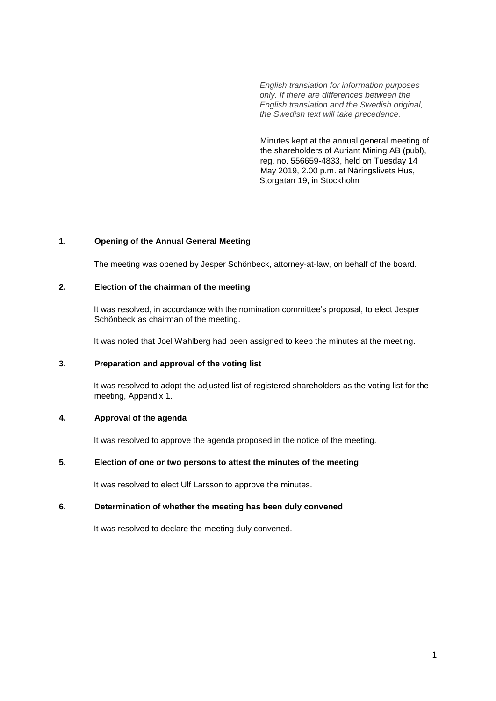*English translation for information purposes only. If there are differences between the English translation and the Swedish original, the Swedish text will take precedence.*

 Minutes kept at the annual general meeting of the shareholders of Auriant Mining AB (publ), reg. no. 556659-4833, held on Tuesday 14 May 2019, 2.00 p.m. at Näringslivets Hus, Storgatan 19, in Stockholm

## **1. Opening of the Annual General Meeting**

The meeting was opened by Jesper Schönbeck, attorney-at-law, on behalf of the board.

## **2. Election of the chairman of the meeting**

It was resolved, in accordance with the nomination committee's proposal, to elect Jesper Schönbeck as chairman of the meeting.

It was noted that Joel Wahlberg had been assigned to keep the minutes at the meeting.

## **3. Preparation and approval of the voting list**

It was resolved to adopt the adjusted list of registered shareholders as the voting list for the meeting, Appendix 1.

## **4. Approval of the agenda**

It was resolved to approve the agenda proposed in the notice of the meeting.

# **5. Election of one or two persons to attest the minutes of the meeting**

It was resolved to elect Ulf Larsson to approve the minutes.

## **6. Determination of whether the meeting has been duly convened**

It was resolved to declare the meeting duly convened.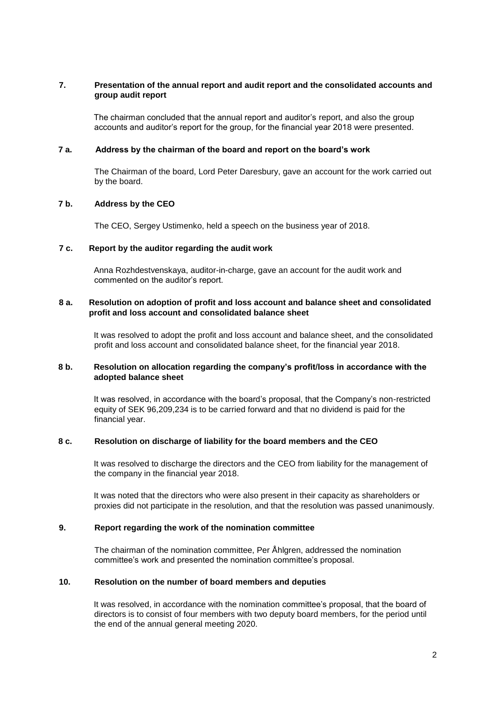## **7. Presentation of the annual report and audit report and the consolidated accounts and group audit report**

The chairman concluded that the annual report and auditor's report, and also the group accounts and auditor's report for the group, for the financial year 2018 were presented.

#### **7 a. Address by the chairman of the board and report on the board's work**

The Chairman of the board, Lord Peter Daresbury, gave an account for the work carried out by the board.

#### **7 b. Address by the CEO**

The CEO, Sergey Ustimenko, held a speech on the business year of 2018.

#### **7 c. Report by the auditor regarding the audit work**

Anna Rozhdestvenskaya, auditor-in-charge, gave an account for the audit work and commented on the auditor's report.

## **8 a. Resolution on adoption of profit and loss account and balance sheet and consolidated profit and loss account and consolidated balance sheet**

It was resolved to adopt the profit and loss account and balance sheet, and the consolidated profit and loss account and consolidated balance sheet, for the financial year 2018.

#### **8 b. Resolution on allocation regarding the company's profit/loss in accordance with the adopted balance sheet**

It was resolved, in accordance with the board's proposal, that the Company's non-restricted equity of SEK 96,209,234 is to be carried forward and that no dividend is paid for the financial year.

#### **8 c. Resolution on discharge of liability for the board members and the CEO**

It was resolved to discharge the directors and the CEO from liability for the management of the company in the financial year 2018.

It was noted that the directors who were also present in their capacity as shareholders or proxies did not participate in the resolution, and that the resolution was passed unanimously.

#### **9. Report regarding the work of the nomination committee**

The chairman of the nomination committee, Per Åhlgren, addressed the nomination committee's work and presented the nomination committee's proposal.

#### **10. Resolution on the number of board members and deputies**

It was resolved, in accordance with the nomination committee's proposal, that the board of directors is to consist of four members with two deputy board members, for the period until the end of the annual general meeting 2020.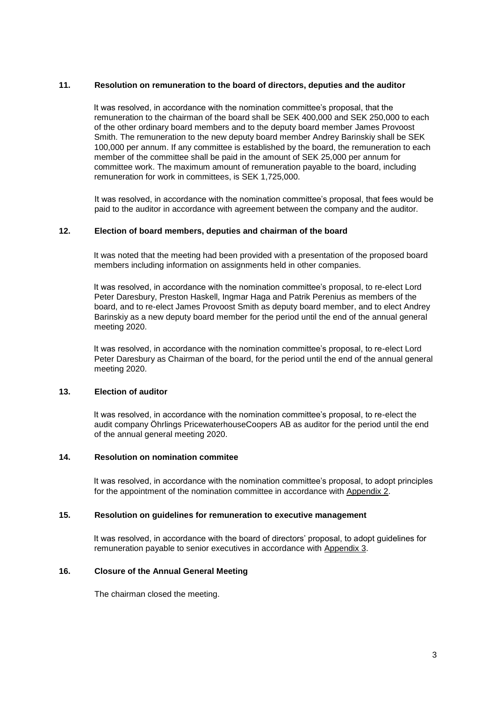## **11. Resolution on remuneration to the board of directors, deputies and the auditor**

It was resolved, in accordance with the nomination committee's proposal, that the remuneration to the chairman of the board shall be SEK 400,000 and SEK 250,000 to each of the other ordinary board members and to the deputy board member James Provoost Smith. The remuneration to the new deputy board member Andrey Barinskiy shall be SEK 100,000 per annum. If any committee is established by the board, the remuneration to each member of the committee shall be paid in the amount of SEK 25,000 per annum for committee work. The maximum amount of remuneration payable to the board, including remuneration for work in committees, is SEK 1,725,000.

It was resolved, in accordance with the nomination committee's proposal, that fees would be paid to the auditor in accordance with agreement between the company and the auditor.

#### **12. Election of board members, deputies and chairman of the board**

It was noted that the meeting had been provided with a presentation of the proposed board members including information on assignments held in other companies.

It was resolved, in accordance with the nomination committee's proposal, to re-elect Lord Peter Daresbury, Preston Haskell, Ingmar Haga and Patrik Perenius as members of the board, and to re-elect James Provoost Smith as deputy board member, and to elect Andrey Barinskiy as a new deputy board member for the period until the end of the annual general meeting 2020.

It was resolved, in accordance with the nomination committee's proposal, to re-elect Lord Peter Daresbury as Chairman of the board, for the period until the end of the annual general meeting 2020.

## **13. Election of auditor**

It was resolved, in accordance with the nomination committee's proposal, to re-elect the audit company Öhrlings PricewaterhouseCoopers AB as auditor for the period until the end of the annual general meeting 2020.

#### **14. Resolution on nomination commitee**

It was resolved, in accordance with the nomination committee's proposal, to adopt principles for the appointment of the nomination committee in accordance with Appendix 2.

## **15. Resolution on guidelines for remuneration to executive management**

It was resolved, in accordance with the board of directors' proposal, to adopt guidelines for remuneration payable to senior executives in accordance with Appendix 3.

# **16. Closure of the Annual General Meeting**

The chairman closed the meeting.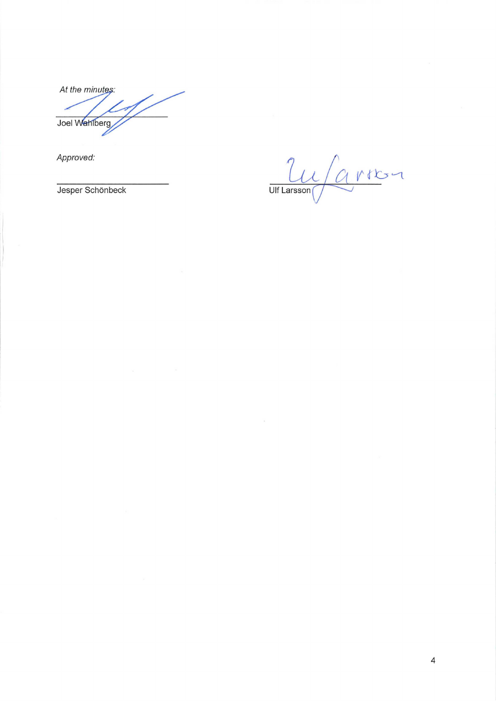At the minutes: Joel Wahlberg

*Approved:* 

Carron Approved:<br>Jesper Schönbeck Ulf Larsson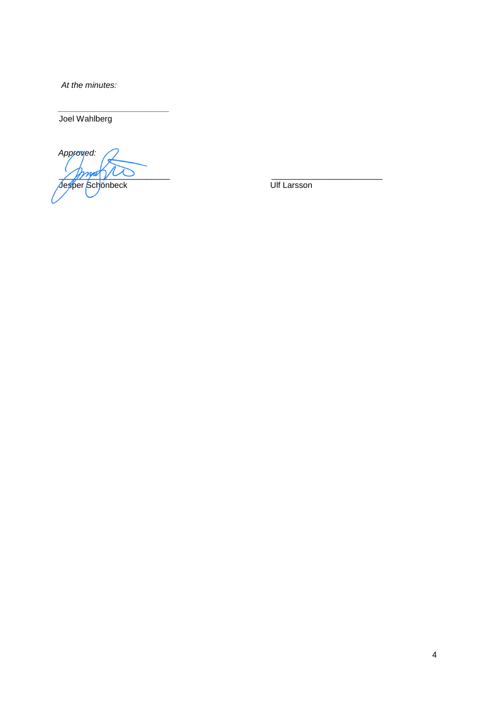*At the minutes:* 

Joel Wahlberg

*Approved:*  \_\_\_\_\_\_\_\_\_\_\_\_\_\_\_\_\_\_\_\_\_\_\_\_ \_\_\_\_\_\_\_\_\_\_\_\_\_\_\_\_\_\_\_\_\_\_\_\_ Jesper Schönbeck Ulf Larsson

*\_\_\_\_\_\_\_\_\_\_\_\_\_\_\_\_\_\_\_\_\_\_\_\_*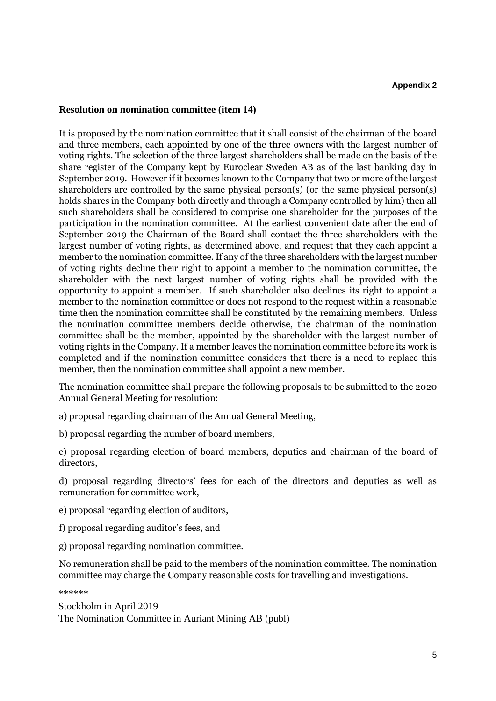# **Resolution on nomination committee (item 14)**

It is proposed by the nomination committee that it shall consist of the chairman of the board and three members, each appointed by one of the three owners with the largest number of voting rights. The selection of the three largest shareholders shall be made on the basis of the share register of the Company kept by Euroclear Sweden AB as of the last banking day in September 2019. However if it becomes known to the Company that two or more of the largest shareholders are controlled by the same physical person(s) (or the same physical person(s) holds shares in the Company both directly and through a Company controlled by him) then all such shareholders shall be considered to comprise one shareholder for the purposes of the participation in the nomination committee. At the earliest convenient date after the end of September 2019 the Chairman of the Board shall contact the three shareholders with the largest number of voting rights, as determined above, and request that they each appoint a member to the nomination committee. If any of the three shareholders with the largest number of voting rights decline their right to appoint a member to the nomination committee, the shareholder with the next largest number of voting rights shall be provided with the opportunity to appoint a member. If such shareholder also declines its right to appoint a member to the nomination committee or does not respond to the request within a reasonable time then the nomination committee shall be constituted by the remaining members. Unless the nomination committee members decide otherwise, the chairman of the nomination committee shall be the member, appointed by the shareholder with the largest number of voting rights in the Company. If a member leaves the nomination committee before its work is completed and if the nomination committee considers that there is a need to replace this member, then the nomination committee shall appoint a new member.

The nomination committee shall prepare the following proposals to be submitted to the 2020 Annual General Meeting for resolution:

a) proposal regarding chairman of the Annual General Meeting,

b) proposal regarding the number of board members,

c) proposal regarding election of board members, deputies and chairman of the board of directors,

d) proposal regarding directors' fees for each of the directors and deputies as well as remuneration for committee work,

e) proposal regarding election of auditors,

f) proposal regarding auditor's fees, and

g) proposal regarding nomination committee.

No remuneration shall be paid to the members of the nomination committee. The nomination committee may charge the Company reasonable costs for travelling and investigations.

\*\*\*\*\*\*

Stockholm in April 2019 The Nomination Committee in Auriant Mining AB (publ)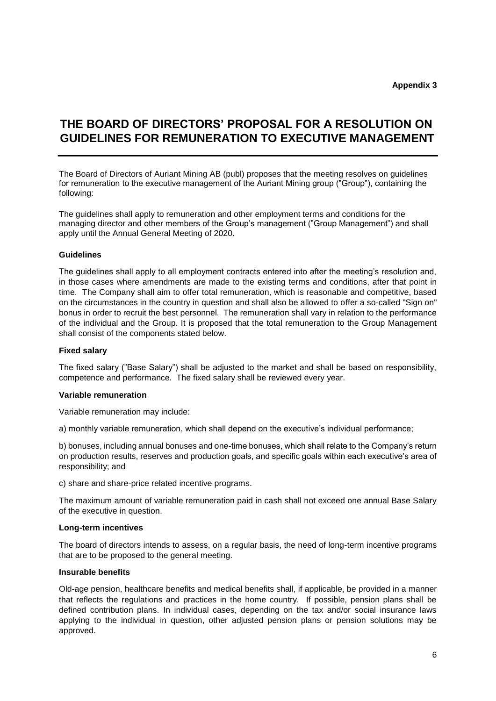**Appendix 3** 

# **THE BOARD OF DIRECTORS' PROPOSAL FOR A RESOLUTION ON GUIDELINES FOR REMUNERATION TO EXECUTIVE MANAGEMENT**

The Board of Directors of Auriant Mining AB (publ) proposes that the meeting resolves on guidelines for remuneration to the executive management of the Auriant Mining group ("Group"), containing the following:

The guidelines shall apply to remuneration and other employment terms and conditions for the managing director and other members of the Group's management ("Group Management") and shall apply until the Annual General Meeting of 2020.

# **Guidelines**

The guidelines shall apply to all employment contracts entered into after the meeting's resolution and, in those cases where amendments are made to the existing terms and conditions, after that point in time. The Company shall aim to offer total remuneration, which is reasonable and competitive, based on the circumstances in the country in question and shall also be allowed to offer a so-called "Sign on" bonus in order to recruit the best personnel. The remuneration shall vary in relation to the performance of the individual and the Group. It is proposed that the total remuneration to the Group Management shall consist of the components stated below.

#### **Fixed salary**

The fixed salary ("Base Salary") shall be adjusted to the market and shall be based on responsibility, competence and performance. The fixed salary shall be reviewed every year.

#### **Variable remuneration**

Variable remuneration may include:

a) monthly variable remuneration, which shall depend on the executive's individual performance;

b) bonuses, including annual bonuses and one-time bonuses, which shall relate to the Company's return on production results, reserves and production goals, and specific goals within each executive's area of responsibility; and

c) share and share-price related incentive programs.

The maximum amount of variable remuneration paid in cash shall not exceed one annual Base Salary of the executive in question.

#### **Long-term incentives**

The board of directors intends to assess, on a regular basis, the need of long-term incentive programs that are to be proposed to the general meeting.

#### **Insurable benefits**

Old-age pension, healthcare benefits and medical benefits shall, if applicable, be provided in a manner that reflects the regulations and practices in the home country. If possible, pension plans shall be defined contribution plans. In individual cases, depending on the tax and/or social insurance laws applying to the individual in question, other adjusted pension plans or pension solutions may be approved.